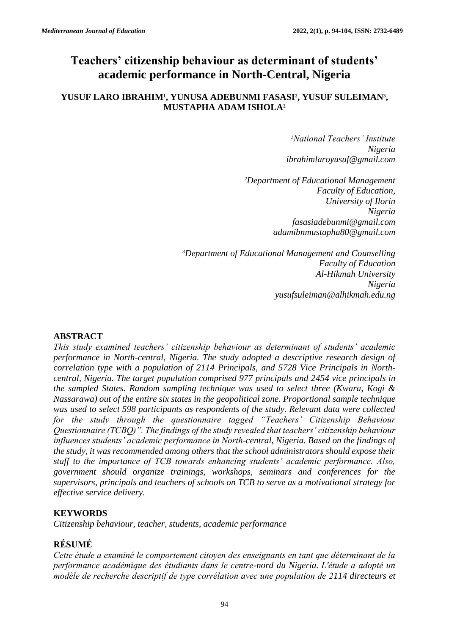# **Teachers' citizenship behaviour as determinant of students' academic performance in North-Central, Nigeria**

## **YUSUF LARO IBRAHIM<sup>1</sup> , YUNUSA ADEBUNMI FASASI<sup>2</sup> , YUSUF SULEIMAN<sup>3</sup> , MUSTAPHA ADAM ISHOLA<sup>2</sup>**

*<sup>1</sup>National Teachers' Institute Nigeria [ibrahimlaroyusuf@gmail.com](mailto:ibrahimlaroyusuf@gmail.com)*

*<sup>2</sup>Department of Educational Management Faculty of Education, University of Ilorin Nigeria [fasasiadebunmi@gmail.com](mailto:fasasiadebunmi@gmail.com) adamibnmustapha80@gmail.com*

*<sup>3</sup>Department of Educational Management and Counselling Faculty of Education Al-Hikmah University Nigeria yusufsuleiman@alhikmah.edu.ng*

## **ABSTRACT**

*This study examined teachers' citizenship behaviour as determinant of students' academic performance in North-central, Nigeria. The study adopted a descriptive research design of correlation type with a population of 2114 Principals, and 5728 Vice Principals in Northcentral, Nigeria. The target population comprised 977 principals and 2454 vice principals in the sampled States. Random sampling technique was used to select three (Kwara, Kogi & Nassarawa) out of the entire six states in the geopolitical zone. Proportional sample technique was used to select 598 participants as respondents of the study. Relevant data were collected*  for the study through the questionnaire tagged "Teachers' Citizenship Behaviour *Questionnaire (TCBQ)". The findings of the study revealed that teachers' citizenship behaviour influences students' academic performance in North-central, Nigeria. Based on the findings of the study, it was recommended among others that the school administrators should expose their staff to the importance of TCB towards enhancing students' academic performance. Also, government should organize trainings, workshops, seminars and conferences for the supervisors, principals and teachers of schools on TCB to serve as a motivational strategy for effective service delivery.* 

# **KEYWORDS**

*Citizenship behaviour, teacher, students, academic performance*

# **RÉSUMÉ**

*Cette étude a examiné le comportement citoyen des enseignants en tant que déterminant de la performance académique des étudiants dans le centre-nord du Nigeria. L'étude a adopté un modèle de recherche descriptif de type corrélation avec une population de 2114 directeurs et*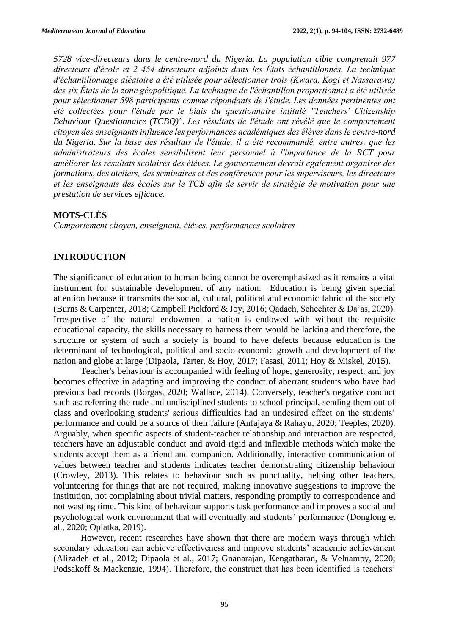*5728 vice-directeurs dans le centre-nord du Nigeria. La population cible comprenait 977 directeurs d'école et 2 454 directeurs adjoints dans les États échantillonnés. La technique d'échantillonnage aléatoire a été utilisée pour sélectionner trois (Kwara, Kogi et Nassarawa) des six États de la zone géopolitique. La technique de l'échantillon proportionnel a été utilisée pour sélectionner 598 participants comme répondants de l'étude. Les données pertinentes ont été collectées pour l'étude par le biais du questionnaire intitulé "Teachers' Citizenship Behaviour Questionnaire (TCBQ)". Les résultats de l'étude ont révélé que le comportement citoyen des enseignants influence les performances académiques des élèves dans le centre-nord du Nigeria. Sur la base des résultats de l'étude, il a été recommandé, entre autres, que les administrateurs des écoles sensibilisent leur personnel à l'importance de la RCT pour améliorer les résultats scolaires des élèves. Le gouvernement devrait également organiser des formations, des ateliers, des séminaires et des conférences pour les superviseurs, les directeurs et les enseignants des écoles sur le TCB afin de servir de stratégie de motivation pour une prestation de services efficace.*

#### **MOTS-CLÉS**

*Comportement citoyen, enseignant, élèves, performances scolaires*

## **INTRODUCTION**

The significance of education to human being cannot be overemphasized as it remains a vital instrument for sustainable development of any nation. Education is being given special attention because it transmits the social, cultural, political and economic fabric of the society (Burns & Carpenter, 2018; Campbell Pickford & Joy, 2016; Qadach, Schechter & Da'as, 2020). Irrespective of the natural endowment a nation is endowed with without the requisite educational capacity, the skills necessary to harness them would be lacking and therefore, the structure or system of such a society is bound to have defects because education is the determinant of technological, political and socio-economic growth and development of the nation and globe at large (Dipaola, Tarter, & Hoy, 2017; Fasasi, 2011; Hoy & Miskel, 2015).

Teacher's behaviour is accompanied with feeling of hope, generosity, respect, and joy becomes effective in adapting and improving the conduct of aberrant students who have had previous bad records (Borgas, 2020; Wallace, 2014). Conversely, teacher's negative conduct such as: referring the rude and undisciplined students to school principal, sending them out of class and overlooking students' serious difficulties had an undesired effect on the students' performance and could be a source of their failure (Anfajaya & Rahayu, 2020; Teeples, 2020). Arguably, when specific aspects of student-teacher relationship and interaction are respected, teachers have an adjustable conduct and avoid rigid and inflexible methods which make the students accept them as a friend and companion. Additionally, interactive communication of values between teacher and students indicates teacher demonstrating citizenship behaviour (Crowley, 2013). This relates to behaviour such as punctuality, helping other teachers, volunteering for things that are not required, making innovative suggestions to improve the institution, not complaining about trivial matters, responding promptly to correspondence and not wasting time. This kind of behaviour supports task performance and improves a social and psychological work environment that will eventually aid students' performance (Donglong et al., 2020; Oplatka, 2019).

However, recent researches have shown that there are modern ways through which secondary education can achieve effectiveness and improve students' academic achievement (Alizadeh et al., 2012; Dipaola et al., 2017; Gnanarajan, Kengatharan, & Velnampy, 2020; Podsakoff & Mackenzie, 1994). Therefore, the construct that has been identified is teachers'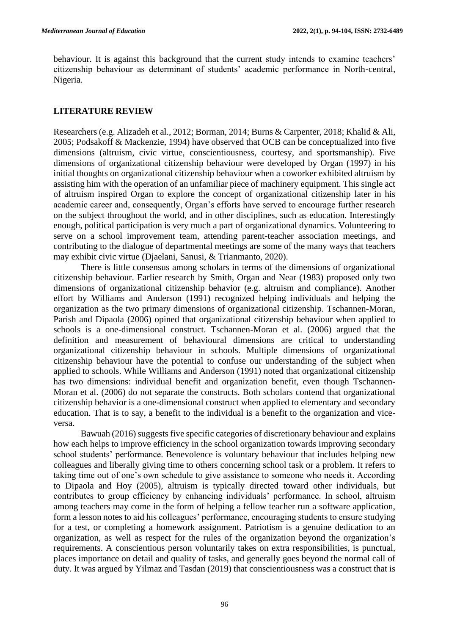behaviour. It is against this background that the current study intends to examine teachers' citizenship behaviour as determinant of students' academic performance in North-central, Nigeria.

#### **LITERATURE REVIEW**

Researchers (e.g. Alizadeh et al., 2012; Borman, 2014; Burns & Carpenter, 2018; Khalid & Ali, 2005; Podsakoff & Mackenzie, 1994) have observed that OCB can be conceptualized into five dimensions (altruism, civic virtue, conscientiousness, courtesy, and sportsmanship). Five dimensions of organizational citizenship behaviour were developed by Organ (1997) in his initial thoughts on organizational citizenship behaviour when a coworker exhibited altruism by assisting him with the operation of an unfamiliar piece of machinery equipment. This single act of altruism inspired Organ to explore the concept of organizational citizenship later in his academic career and, consequently, Organ's efforts have served to encourage further research on the subject throughout the world, and in other disciplines, such as education. Interestingly enough, political participation is very much a part of organizational dynamics. Volunteering to serve on a school improvement team, attending parent-teacher association meetings, and contributing to the dialogue of departmental meetings are some of the many ways that teachers may exhibit civic virtue (Djaelani, Sanusi, & Trianmanto, 2020).

There is little consensus among scholars in terms of the dimensions of organizational citizenship behaviour. Earlier research by Smith, Organ and Near (1983) proposed only two dimensions of organizational citizenship behavior (e.g. altruism and compliance). Another effort by Williams and Anderson (1991) recognized helping individuals and helping the organization as the two primary dimensions of organizational citizenship. Tschannen-Moran, Parish and Dipaola (2006) opined that organizational citizenship behaviour when applied to schools is a one-dimensional construct. Tschannen-Moran et al. (2006) argued that the definition and measurement of behavioural dimensions are critical to understanding organizational citizenship behaviour in schools. Multiple dimensions of organizational citizenship behaviour have the potential to confuse our understanding of the subject when applied to schools. While Williams and Anderson (1991) noted that organizational citizenship has two dimensions: individual benefit and organization benefit, even though Tschannen-Moran et al. (2006) do not separate the constructs. Both scholars contend that organizational citizenship behavior is a one-dimensional construct when applied to elementary and secondary education. That is to say, a benefit to the individual is a benefit to the organization and viceversa.

Bawuah (2016) suggests five specific categories of discretionary behaviour and explains how each helps to improve efficiency in the school organization towards improving secondary school students' performance. Benevolence is voluntary behaviour that includes helping new colleagues and liberally giving time to others concerning school task or a problem. It refers to taking time out of one's own schedule to give assistance to someone who needs it. According to Dipaola and Hoy (2005), altruism is typically directed toward other individuals, but contributes to group efficiency by enhancing individuals' performance. In school, altruism among teachers may come in the form of helping a fellow teacher run a software application, form a lesson notes to aid his colleagues' performance, encouraging students to ensure studying for a test, or completing a homework assignment. Patriotism is a genuine dedication to an organization, as well as respect for the rules of the organization beyond the organization's requirements. A conscientious person voluntarily takes on extra responsibilities, is punctual, places importance on detail and quality of tasks, and generally goes beyond the normal call of duty. It was argued by Yilmaz and Tasdan (2019) that conscientiousness was a construct that is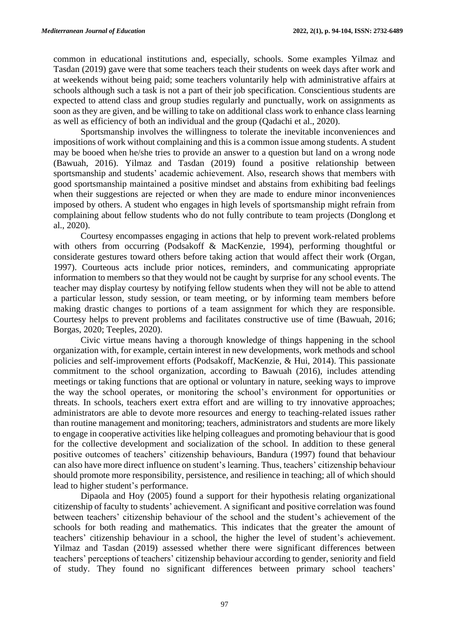common in educational institutions and, especially, schools. Some examples Yilmaz and Tasdan (2019) gave were that some teachers teach their students on week days after work and at weekends without being paid; some teachers voluntarily help with administrative affairs at schools although such a task is not a part of their job specification. Conscientious students are expected to attend class and group studies regularly and punctually, work on assignments as soon as they are given, and be willing to take on additional class work to enhance class learning as well as efficiency of both an individual and the group (Qadachi et al., 2020).

Sportsmanship involves the willingness to tolerate the inevitable inconveniences and impositions of work without complaining and this is a common issue among students. A student may be booed when he/she tries to provide an answer to a question but land on a wrong node (Bawuah, 2016). Yilmaz and Tasdan (2019) found a positive relationship between sportsmanship and students' academic achievement. Also, research shows that members with good sportsmanship maintained a positive mindset and abstains from exhibiting bad feelings when their suggestions are rejected or when they are made to endure minor inconveniences imposed by others. A student who engages in high levels of sportsmanship might refrain from complaining about fellow students who do not fully contribute to team projects (Donglong et al., 2020).

Courtesy encompasses engaging in actions that help to prevent work-related problems with others from occurring (Podsakoff & MacKenzie, 1994), performing thoughtful or considerate gestures toward others before taking action that would affect their work (Organ, 1997). Courteous acts include prior notices, reminders, and communicating appropriate information to members so that they would not be caught by surprise for any school events. The teacher may display courtesy by notifying fellow students when they will not be able to attend a particular lesson, study session, or team meeting, or by informing team members before making drastic changes to portions of a team assignment for which they are responsible. Courtesy helps to prevent problems and facilitates constructive use of time (Bawuah, 2016; Borgas, 2020; Teeples, 2020).

Civic virtue means having a thorough knowledge of things happening in the school organization with, for example, certain interest in new developments, work methods and school policies and self-improvement efforts (Podsakoff, MacKenzie, & Hui, 2014). This passionate commitment to the school organization, according to Bawuah (2016), includes attending meetings or taking functions that are optional or voluntary in nature, seeking ways to improve the way the school operates, or monitoring the school's environment for opportunities or threats. In schools, teachers exert extra effort and are willing to try innovative approaches; administrators are able to devote more resources and energy to teaching-related issues rather than routine management and monitoring; teachers, administrators and students are more likely to engage in cooperative activities like helping colleagues and promoting behaviour that is good for the collective development and socialization of the school. In addition to these general positive outcomes of teachers' citizenship behaviours, Bandura (1997) found that behaviour can also have more direct influence on student's learning. Thus, teachers' citizenship behaviour should promote more responsibility, persistence, and resilience in teaching; all of which should lead to higher student's performance.

Dipaola and Hoy (2005) found a support for their hypothesis relating organizational citizenship of faculty to students' achievement. A significant and positive correlation was found between teachers' citizenship behaviour of the school and the student's achievement of the schools for both reading and mathematics. This indicates that the greater the amount of teachers' citizenship behaviour in a school, the higher the level of student's achievement. Yilmaz and Tasdan (2019) assessed whether there were significant differences between teachers' perceptions of teachers' citizenship behaviour according to gender, seniority and field of study. They found no significant differences between primary school teachers'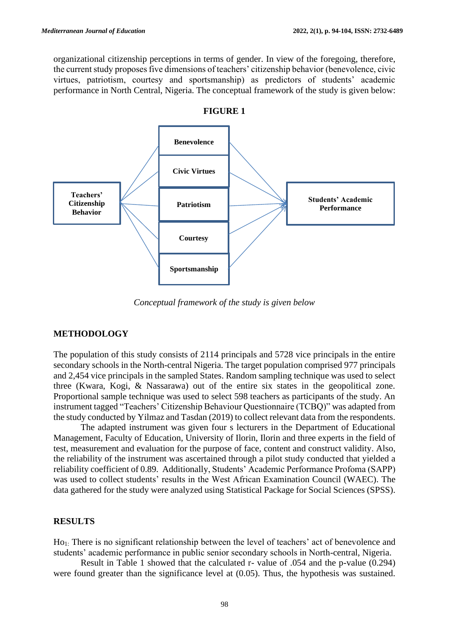organizational citizenship perceptions in terms of gender. In view of the foregoing, therefore, the current study proposes five dimensions of teachers' citizenship behavior (benevolence, civic virtues, patriotism, courtesy and sportsmanship) as predictors of students' academic performance in North Central, Nigeria. The conceptual framework of the study is given below:





*Conceptual framework of the study is given below*

#### **METHODOLOGY**

The population of this study consists of 2114 principals and 5728 vice principals in the entire secondary schools in the North-central Nigeria. The target population comprised 977 principals and 2,454 vice principals in the sampled States. Random sampling technique was used to select three (Kwara, Kogi, & Nassarawa) out of the entire six states in the geopolitical zone. Proportional sample technique was used to select 598 teachers as participants of the study. An instrument tagged "Teachers' Citizenship Behaviour Questionnaire (TCBQ)" was adapted from the study conducted by Yilmaz and Tasdan (2019) to collect relevant data from the respondents.

The adapted instrument was given four s lecturers in the Department of Educational Management, Faculty of Education, University of Ilorin, Ilorin and three experts in the field of test, measurement and evaluation for the purpose of face, content and construct validity. Also, the reliability of the instrument was ascertained through a pilot study conducted that yielded a reliability coefficient of 0.89. Additionally, Students' Academic Performance Profoma (SAPP) was used to collect students' results in the West African Examination Council (WAEC). The data gathered for the study were analyzed using Statistical Package for Social Sciences (SPSS).

#### **RESULTS**

Ho1: There is no significant relationship between the level of teachers' act of benevolence and students' academic performance in public senior secondary schools in North-central, Nigeria.

Result in Table 1 showed that the calculated r- value of .054 and the p-value (0.294) were found greater than the significance level at  $(0.05)$ . Thus, the hypothesis was sustained.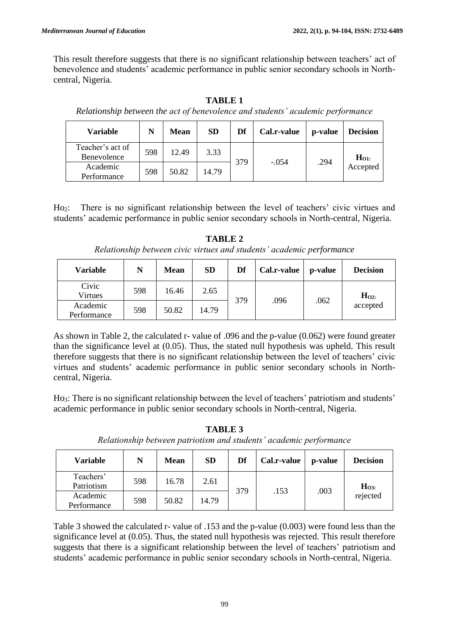This result therefore suggests that there is no significant relationship between teachers' act of benevolence and students' academic performance in public senior secondary schools in Northcentral, Nigeria.

*Relationship between the act of benevolence and students' academic performance* **Variable N Mean SD Df Cal.r-value p-value Decision** Teacher's act of Benevolence  $\begin{array}{|c|c|c|c|c|} \hline 598 & 12.49 & 3.33 \end{array}$ <sup>379</sup> -.054 .294 **<sup>H</sup>O1:** Academic Accepted Academic<br>Performance 598 50.82 14.79

**TABLE 1**

Ho2: There is no significant relationship between the level of teachers' civic virtues and students' academic performance in public senior secondary schools in North-central, Nigeria.

**Variable N Mean SD Df Cal.r-value p-value Decision** Civic Virtues 598 16.46 2.65 <sup>379</sup> .096 .062 **<sup>H</sup>O2:** Academic accepted Academic 598 50.82 14.79

**TABLE 2** *Relationship between civic virtues and students' academic performance*

As shown in Table 2, the calculated r- value of .096 and the p-value (0.062) were found greater than the significance level at (0.05). Thus, the stated null hypothesis was upheld. This result therefore suggests that there is no significant relationship between the level of teachers' civic virtues and students' academic performance in public senior secondary schools in Northcentral, Nigeria.

Ho3: There is no significant relationship between the level of teachers' patriotism and students' academic performance in public senior secondary schools in North-central, Nigeria.

**TABLE 3** *Relationship between patriotism and students' academic performance*

| <b>Variable</b>         | N   | <b>Mean</b> | <b>SD</b> | Df  | Cal.r-value | p-value | <b>Decision</b>             |
|-------------------------|-----|-------------|-----------|-----|-------------|---------|-----------------------------|
| Teachers'<br>Patriotism | 598 | 16.78       | 2.61      | 379 | .153        | .003    | H <sub>03</sub><br>rejected |
| Academic<br>Performance | 598 | 50.82       | 14.79     |     |             |         |                             |

Table 3 showed the calculated r- value of .153 and the p-value (0.003) were found less than the significance level at (0.05). Thus, the stated null hypothesis was rejected. This result therefore suggests that there is a significant relationship between the level of teachers' patriotism and students' academic performance in public senior secondary schools in North-central, Nigeria.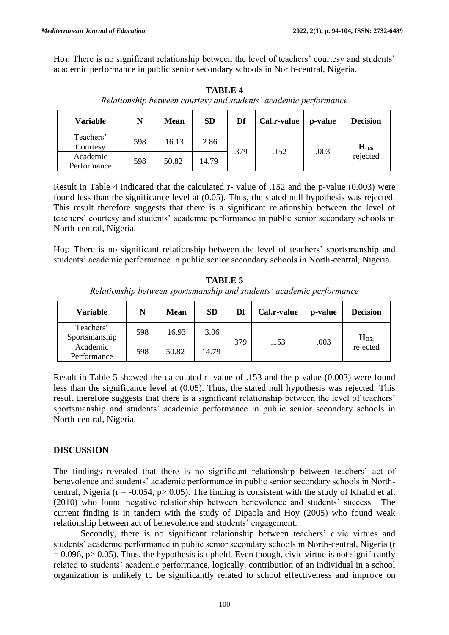Ho4: There is no significant relationship between the level of teachers' courtesy and students' academic performance in public senior secondary schools in North-central, Nigeria.

| <b>Variable</b>         | N   | <b>Mean</b> | <b>SD</b> | Df  | Cal.r-value | p-value | <b>Decision</b>     |
|-------------------------|-----|-------------|-----------|-----|-------------|---------|---------------------|
| Teachers'<br>Courtesy   | 598 | 16.13       | 2.86      | 379 | .152        | .003    | $H04$ :<br>rejected |
| Academic<br>Performance | 598 | 50.82       | 14.79     |     |             |         |                     |

**TABLE 4** *Relationship between courtesy and students' academic performance*

Result in Table 4 indicated that the calculated r- value of .152 and the p-value (0.003) were found less than the significance level at (0.05). Thus, the stated null hypothesis was rejected. This result therefore suggests that there is a significant relationship between the level of teachers' courtesy and students' academic performance in public senior secondary schools in North-central, Nigeria.

Ho5: There is no significant relationship between the level of teachers' sportsmanship and students' academic performance in public senior secondary schools in North-central, Nigeria.

**TABLE 5** *Relationship between sportsmanship and students' academic performance*

| <b>Variable</b>            | N   | <b>Mean</b> | <b>SD</b> | Df  | Cal.r-value | p-value | <b>Decision</b>      |
|----------------------------|-----|-------------|-----------|-----|-------------|---------|----------------------|
| Teachers'<br>Sportsmanship | 598 | 16.93       | 3.06      | 379 | .153        | .003    | $H_{O5}$<br>rejected |
| Academic<br>Performance    | 598 | 50.82       | 14.79     |     |             |         |                      |

Result in Table 5 showed the calculated r- value of .153 and the p-value (0.003) were found less than the significance level at (0.05). Thus, the stated null hypothesis was rejected. This result therefore suggests that there is a significant relationship between the level of teachers' sportsmanship and students' academic performance in public senior secondary schools in North-central, Nigeria.

# **DISCUSSION**

The findings revealed that there is no significant relationship between teachers' act of benevolence and students' academic performance in public senior secondary schools in Northcentral, Nigeria ( $r = -0.054$ ,  $p > 0.05$ ). The finding is consistent with the study of Khalid et al. (2010) who found negative relationship between benevolence and students' success. The current finding is in tandem with the study of Dipaola and Hoy (2005) who found weak relationship between act of benevolence and students' engagement.

Secondly, there is no significant relationship between teachers' civic virtues and students' academic performance in public senior secondary schools in North-central, Nigeria (r  $= 0.096$ , p $> 0.05$ ). Thus, the hypothesis is upheld. Even though, civic virtue is not significantly related to students' academic performance, logically, contribution of an individual in a school organization is unlikely to be significantly related to school effectiveness and improve on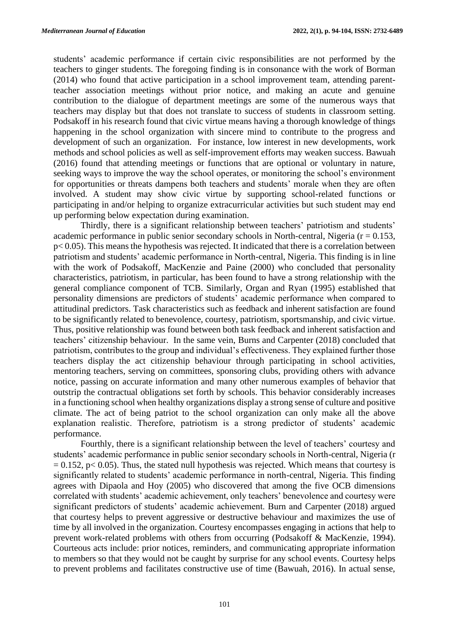students' academic performance if certain civic responsibilities are not performed by the teachers to ginger students. The foregoing finding is in consonance with the work of Borman (2014) who found that active participation in a school improvement team, attending parentteacher association meetings without prior notice, and making an acute and genuine contribution to the dialogue of department meetings are some of the numerous ways that teachers may display but that does not translate to success of students in classroom setting. Podsakoff in his research found that civic virtue means having a thorough knowledge of things happening in the school organization with sincere mind to contribute to the progress and development of such an organization. For instance, low interest in new developments, work methods and school policies as well as self-improvement efforts may weaken success. Bawuah (2016) found that attending meetings or functions that are optional or voluntary in nature, seeking ways to improve the way the school operates, or monitoring the school's environment for opportunities or threats dampens both teachers and students' morale when they are often involved. A student may show civic virtue by supporting school-related functions or participating in and/or helping to organize extracurricular activities but such student may end up performing below expectation during examination.

Thirdly, there is a significant relationship between teachers' patriotism and students' academic performance in public senior secondary schools in North-central, Nigeria ( $r = 0.153$ , p< 0.05). This means the hypothesis was rejected. It indicated that there is a correlation between patriotism and students' academic performance in North-central, Nigeria. This finding is in line with the work of Podsakoff, MacKenzie and Paine (2000) who concluded that personality characteristics, patriotism, in particular, has been found to have a strong relationship with the general compliance component of TCB. Similarly, Organ and Ryan (1995) established that personality dimensions are predictors of students' academic performance when compared to attitudinal predictors. Task characteristics such as feedback and inherent satisfaction are found to be significantly related to benevolence, courtesy, patriotism, sportsmanship, and civic virtue. Thus, positive relationship was found between both task feedback and inherent satisfaction and teachers' citizenship behaviour. In the same vein, Burns and Carpenter (2018) concluded that patriotism, contributes to the group and individual's effectiveness. They explained further those teachers display the act citizenship behaviour through participating in school activities, mentoring teachers, serving on committees, sponsoring clubs, providing others with advance notice, passing on accurate information and many other numerous examples of behavior that outstrip the contractual obligations set forth by schools. This behavior considerably increases in a functioning school when healthy organizations display a strong sense of culture and positive climate. The act of being patriot to the school organization can only make all the above explanation realistic. Therefore, patriotism is a strong predictor of students' academic performance.

Fourthly, there is a significant relationship between the level of teachers' courtesy and students' academic performance in public senior secondary schools in North-central, Nigeria (r  $= 0.152$ , p $< 0.05$ ). Thus, the stated null hypothesis was rejected. Which means that courtesy is significantly related to students' academic performance in north-central, Nigeria. This finding agrees with Dipaola and Hoy (2005) who discovered that among the five OCB dimensions correlated with students' academic achievement, only teachers' benevolence and courtesy were significant predictors of students' academic achievement. Burn and Carpenter (2018) argued that courtesy helps to prevent aggressive or destructive behaviour and maximizes the use of time by all involved in the organization. Courtesy encompasses engaging in actions that help to prevent work-related problems with others from occurring (Podsakoff & MacKenzie, 1994). Courteous acts include: prior notices, reminders, and communicating appropriate information to members so that they would not be caught by surprise for any school events. Courtesy helps to prevent problems and facilitates constructive use of time (Bawuah, 2016). In actual sense,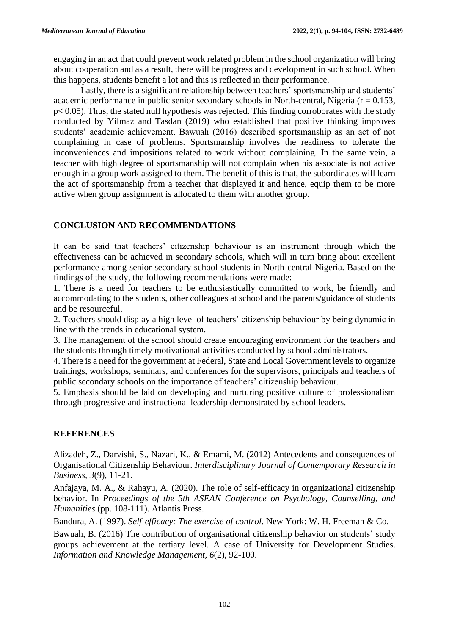engaging in an act that could prevent work related problem in the school organization will bring about cooperation and as a result, there will be progress and development in such school. When this happens, students benefit a lot and this is reflected in their performance.

Lastly, there is a significant relationship between teachers' sportsmanship and students' academic performance in public senior secondary schools in North-central, Nigeria ( $r = 0.153$ , p< 0.05). Thus, the stated null hypothesis was rejected. This finding corroborates with the study conducted by Yilmaz and Tasdan (2019) who established that positive thinking improves students' academic achievement. Bawuah (2016) described sportsmanship as an act of not complaining in case of problems. Sportsmanship involves the readiness to tolerate the inconveniences and impositions related to work without complaining. In the same vein, a teacher with high degree of sportsmanship will not complain when his associate is not active enough in a group work assigned to them. The benefit of this is that, the subordinates will learn the act of sportsmanship from a teacher that displayed it and hence, equip them to be more active when group assignment is allocated to them with another group.

## **CONCLUSION AND RECOMMENDATIONS**

It can be said that teachers' citizenship behaviour is an instrument through which the effectiveness can be achieved in secondary schools, which will in turn bring about excellent performance among senior secondary school students in North-central Nigeria. Based on the findings of the study, the following recommendations were made:

1. There is a need for teachers to be enthusiastically committed to work, be friendly and accommodating to the students, other colleagues at school and the parents/guidance of students and be resourceful.

2. Teachers should display a high level of teachers' citizenship behaviour by being dynamic in line with the trends in educational system.

3. The management of the school should create encouraging environment for the teachers and the students through timely motivational activities conducted by school administrators.

4. There is a need for the government at Federal, State and Local Government levels to organize trainings, workshops, seminars, and conferences for the supervisors, principals and teachers of public secondary schools on the importance of teachers' citizenship behaviour.

5. Emphasis should be laid on developing and nurturing positive culture of professionalism through progressive and instructional leadership demonstrated by school leaders.

# **REFERENCES**

Alizadeh, Z., Darvishi, S., Nazari, K., & Emami, M. (2012) Antecedents and consequences of Organisational Citizenship Behaviour. *Interdisciplinary Journal of Contemporary Research in Business, 3*(9), 11-21.

Anfajaya, M. A., & Rahayu, A. (2020). The role of self-efficacy in organizational citizenship behavior. In *Proceedings of the 5th ASEAN Conference on Psychology, Counselling, and Humanities* (pp. 108-111). Atlantis Press.

Bandura, A. (1997). *Self-efficacy: The exercise of control*. New York: W. H. Freeman & Co.

Bawuah, B. (2016) The contribution of organisational citizenship behavior on students' study groups achievement at the tertiary level. A case of University for Development Studies. *Information and Knowledge Management, 6*(2), 92-100.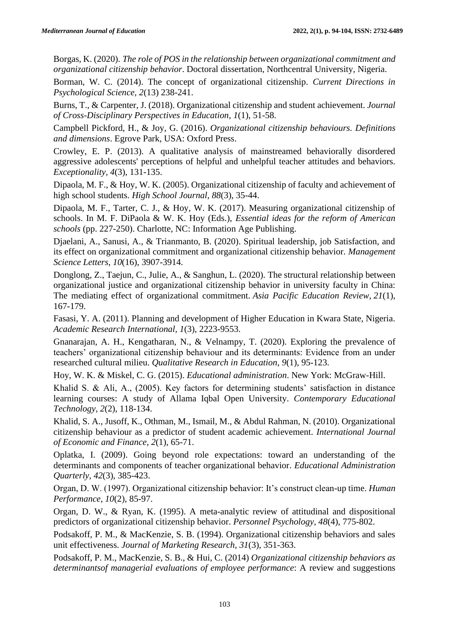Borgas, K. (2020). *The role of POS in the relationship between organizational commitment and organizational citizenship behavior*. Doctoral dissertation, Northcentral University, Nigeria.

Borman, W. C. (2014). The concept of organizational citizenship. *Current Directions in Psychological Science, 2*(13) 238-241.

Burns, T., & Carpenter, J. (2018). Organizational citizenship and student achievement. *Journal of Cross-Disciplinary Perspectives in Education, 1*(1), 51-58.

Campbell Pickford, H., & Joy, G. (2016). *Organizational citizenship behaviours. Definitions and dimensions*. Egrove Park, USA: Oxford Press.

Crowley, E. P. (2013). A qualitative analysis of mainstreamed behaviorally disordered aggressive adolescents' perceptions of helpful and unhelpful teacher attitudes and behaviors. *Exceptionality, 4*(3), 131-135.

Dipaola, M. F., & Hoy, W. K. (2005). Organizational citizenship of faculty and achievement of high school students. *High School Journal, 88*(3), 35-44.

Dipaola, M. F., Tarter, C. J., & Hoy, W. K. (2017). Measuring organizational citizenship of schools. In M. F. DiPaola & W. K. Hoy (Eds.), *Essential ideas for the reform of American schools* (pp. 227-250). Charlotte, NC: Information Age Publishing.

Djaelani, A., Sanusi, A., & Trianmanto, B. (2020). Spiritual leadership, job Satisfaction, and its effect on organizational commitment and organizational citizenship behavior. *Management Science Letters*, *10*(16), 3907-3914.

Donglong, Z., Taejun, C., Julie, A., & Sanghun, L. (2020). The structural relationship between organizational justice and organizational citizenship behavior in university faculty in China: The mediating effect of organizational commitment. *Asia Pacific Education Review*, *21*(1), 167-179.

Fasasi, Y. A. (2011). Planning and development of Higher Education in Kwara State, Nigeria. *Academic Research International, 1*(3), 2223-9553.

Gnanarajan, A. H., Kengatharan, N., & Velnampy, T. (2020). Exploring the prevalence of teachers' organizational citizenship behaviour and its determinants: Evidence from an under researched cultural milieu. *Qualitative Research in Education*, *9*(1), 95-123.

Hoy, W. K. & Miskel, C. G. (2015). *Educational administration*. New York: McGraw-Hill.

Khalid S. & Ali, A., (2005). Key factors for determining students' satisfaction in distance learning courses: A study of Allama Iqbal Open University. *Contemporary Educational Technology, 2*(2), 118-134.

Khalid, S. A., Jusoff, K., Othman, M., Ismail, M., & Abdul Rahman, N. (2010). Organizational citizenship behaviour as a predictor of student academic achievement. *International Journal of Economic and Finance, 2*(1), 65-71.

Oplatka, I. (2009). Going beyond role expectations: toward an understanding of the determinants and components of teacher organizational behavior. *Educational Administration Quarterly, 42*(3), 385-423.

Organ, D. W. (1997). Organizational citizenship behavior: It's construct clean-up time. *Human Performance, 10*(2), 85-97.

Organ, D. W., & Ryan, K. (1995). A meta-analytic review of attitudinal and dispositional predictors of organizational citizenship behavior. *Personnel Psychology, 48*(4), 775-802.

Podsakoff, P. M., & MacKenzie, S. B. (1994). Organizational citizenship behaviors and sales unit effectiveness. *Journal of Marketing Research, 31*(3), 351-363.

Podsakoff, P. M., MacKenzie, S. B., & Hui, C. (2014) *Organizational citizenship behaviors as determinantsof managerial evaluations of employee performance*: A review and suggestions